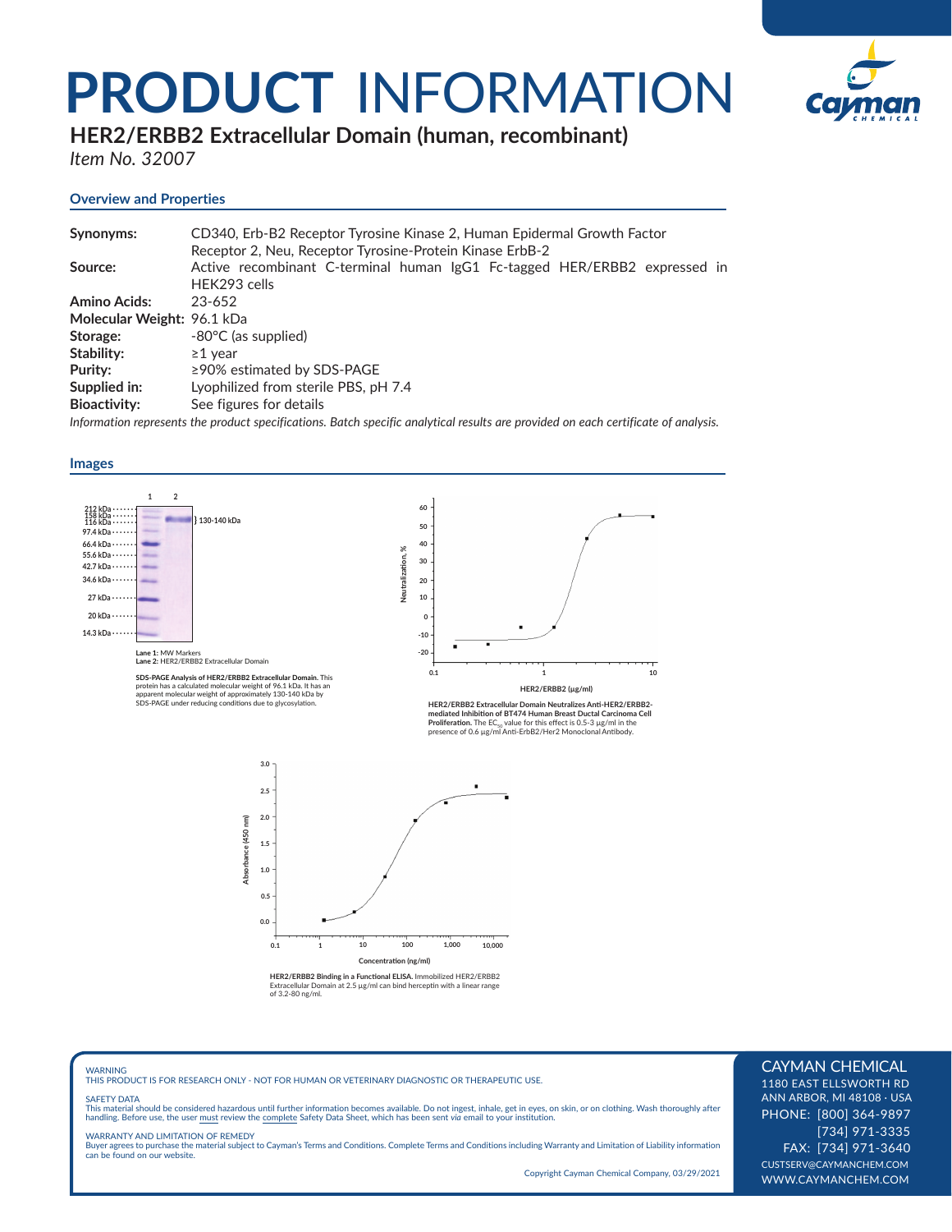# **PRODUCT** INFORMATION



**HER2/ERBB2 Extracellular Domain (human, recombinant)** 

*Item No. 32007*

# **Overview and Properties**

| Synonyms:                  | CD340, Erb-B2 Receptor Tyrosine Kinase 2, Human Epidermal Growth Factor                                                            |
|----------------------------|------------------------------------------------------------------------------------------------------------------------------------|
|                            | Receptor 2, Neu, Receptor Tyrosine-Protein Kinase ErbB-2                                                                           |
| Source:                    | Active recombinant C-terminal human IgG1 Fc-tagged HER/ERBB2 expressed in                                                          |
|                            | HEK293 cells                                                                                                                       |
| <b>Amino Acids:</b>        | 23-652                                                                                                                             |
| Molecular Weight: 96.1 kDa |                                                                                                                                    |
| Storage:                   | -80°C (as supplied)                                                                                                                |
| Stability:                 | $\geq$ 1 vear                                                                                                                      |
| Purity:                    | $\geq$ 90% estimated by SDS-PAGE                                                                                                   |
| Supplied in:               | Lyophilized from sterile PBS, pH 7.4                                                                                               |
| <b>Bioactivity:</b>        | See figures for details                                                                                                            |
|                            | Information represents the product specifications. Batch specific analytical results are provided on each certificate of analysis. |



WARNING THIS PRODUCT IS FOR RESEARCH ONLY - NOT FOR HUMAN OR VETERINARY DIAGNOSTIC OR THERAPEUTIC USE.

#### SAFETY DATA

This material should be considered hazardous until further information becomes available. Do not ingest, inhale, get in eyes, on skin, or on clothing. Wash thoroughly after<br>handling. Before use, the user must review the co

WARRANTY AND LIMITATION OF REMEDY Buyer agrees to purchase the material subject to Cayman's Terms and Conditions. Complete Terms and Conditions including Warranty and Limitation of Liability information can be found on our website.

Copyright Cayman Chemical Company, 03/29/2021

# CAYMAN CHEMICAL

1180 EAST ELLSWORTH RD ANN ARBOR, MI 48108 · USA PHONE: [800] 364-9897 [734] 971-3335 FAX: [734] 971-3640 CUSTSERV@CAYMANCHEM.COM WWW.CAYMANCHEM.COM